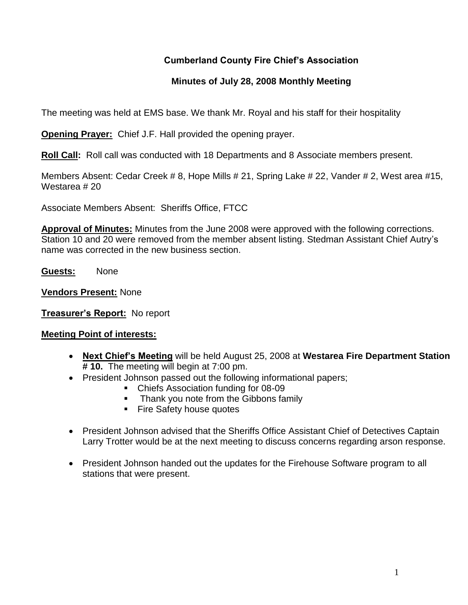## **Cumberland County Fire Chief's Association**

#### **Minutes of July 28, 2008 Monthly Meeting**

The meeting was held at EMS base. We thank Mr. Royal and his staff for their hospitality

**Opening Prayer:** Chief J.F. Hall provided the opening prayer.

**Roll Call:** Roll call was conducted with 18 Departments and 8 Associate members present.

Members Absent: Cedar Creek # 8, Hope Mills # 21, Spring Lake # 22, Vander # 2, West area #15, Westarea # 20

Associate Members Absent: Sheriffs Office, FTCC

**Approval of Minutes:** Minutes from the June 2008 were approved with the following corrections. Station 10 and 20 were removed from the member absent listing. Stedman Assistant Chief Autry's name was corrected in the new business section.

**Guests:** None

**Vendors Present:** None

**Treasurer's Report:** No report

#### **Meeting Point of interests:**

- **Next Chief's Meeting** will be held August 25, 2008 at **Westarea Fire Department Station # 10.** The meeting will begin at 7:00 pm.
- President Johnson passed out the following informational papers;
	- Chiefs Association funding for 08-09
	- Thank you note from the Gibbons family
	- **Fire Safety house quotes**
- President Johnson advised that the Sheriffs Office Assistant Chief of Detectives Captain Larry Trotter would be at the next meeting to discuss concerns regarding arson response.
- President Johnson handed out the updates for the Firehouse Software program to all stations that were present.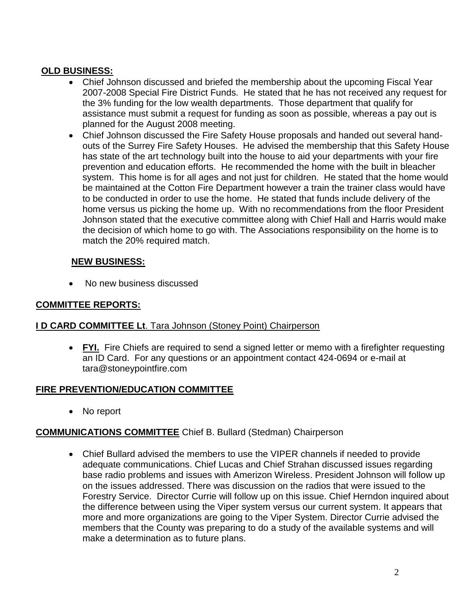## **OLD BUSINESS:**

- Chief Johnson discussed and briefed the membership about the upcoming Fiscal Year 2007-2008 Special Fire District Funds. He stated that he has not received any request for the 3% funding for the low wealth departments. Those department that qualify for assistance must submit a request for funding as soon as possible, whereas a pay out is planned for the August 2008 meeting.
- Chief Johnson discussed the Fire Safety House proposals and handed out several handouts of the Surrey Fire Safety Houses. He advised the membership that this Safety House has state of the art technology built into the house to aid your departments with your fire prevention and education efforts. He recommended the home with the built in bleacher system. This home is for all ages and not just for children. He stated that the home would be maintained at the Cotton Fire Department however a train the trainer class would have to be conducted in order to use the home. He stated that funds include delivery of the home versus us picking the home up. With no recommendations from the floor President Johnson stated that the executive committee along with Chief Hall and Harris would make the decision of which home to go with. The Associations responsibility on the home is to match the 20% required match.

### **NEW BUSINESS:**

• No new business discussed

### **COMMITTEE REPORTS:**

### **I D CARD COMMITTEE Lt**. Tara Johnson (Stoney Point) Chairperson

• FYI. Fire Chiefs are required to send a signed letter or memo with a firefighter requesting an ID Card. For any questions or an appointment contact 424-0694 or e-mail at [tara@stoneypointfire.com](mailto:tara@stoneypointfire.com)

### **FIRE PREVENTION/EDUCATION COMMITTEE**

• No report

### **COMMUNICATIONS COMMITTEE** Chief B. Bullard (Stedman) Chairperson

 Chief Bullard advised the members to use the VIPER channels if needed to provide adequate communications. Chief Lucas and Chief Strahan discussed issues regarding base radio problems and issues with Amerizon Wireless. President Johnson will follow up on the issues addressed. There was discussion on the radios that were issued to the Forestry Service. Director Currie will follow up on this issue. Chief Herndon inquired about the difference between using the Viper system versus our current system. It appears that more and more organizations are going to the Viper System. Director Currie advised the members that the County was preparing to do a study of the available systems and will make a determination as to future plans.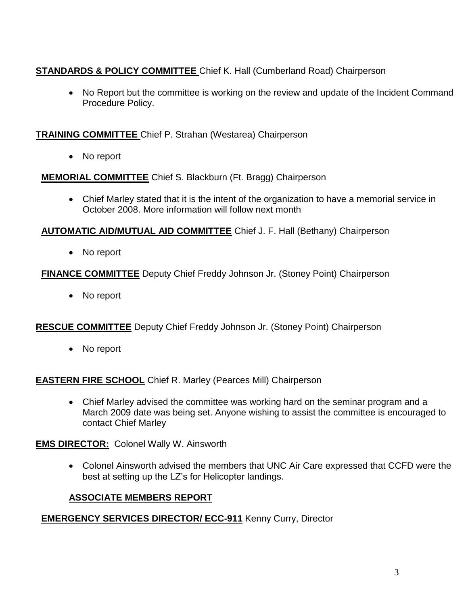# **STANDARDS & POLICY COMMITTEE** Chief K. Hall (Cumberland Road) Chairperson

• No Report but the committee is working on the review and update of the Incident Command Procedure Policy.

### **TRAINING COMMITTEE** Chief P. Strahan (Westarea) Chairperson

• No report

**MEMORIAL COMMITTEE** Chief S. Blackburn (Ft. Bragg) Chairperson

 Chief Marley stated that it is the intent of the organization to have a memorial service in October 2008. More information will follow next month

### **AUTOMATIC AID/MUTUAL AID COMMITTEE** Chief J. F. Hall (Bethany) Chairperson

• No report

## **FINANCE COMMITTEE** Deputy Chief Freddy Johnson Jr. (Stoney Point) Chairperson

• No report

## **RESCUE COMMITTEE** Deputy Chief Freddy Johnson Jr. (Stoney Point) Chairperson

No report

## **EASTERN FIRE SCHOOL** Chief R. Marley (Pearces Mill) Chairperson

 Chief Marley advised the committee was working hard on the seminar program and a March 2009 date was being set. Anyone wishing to assist the committee is encouraged to contact Chief Marley

**EMS DIRECTOR:** Colonel Wally W. Ainsworth

 Colonel Ainsworth advised the members that UNC Air Care expressed that CCFD were the best at setting up the LZ's for Helicopter landings.

## **ASSOCIATE MEMBERS REPORT**

## **EMERGENCY SERVICES DIRECTOR/ ECC-911** Kenny Curry, Director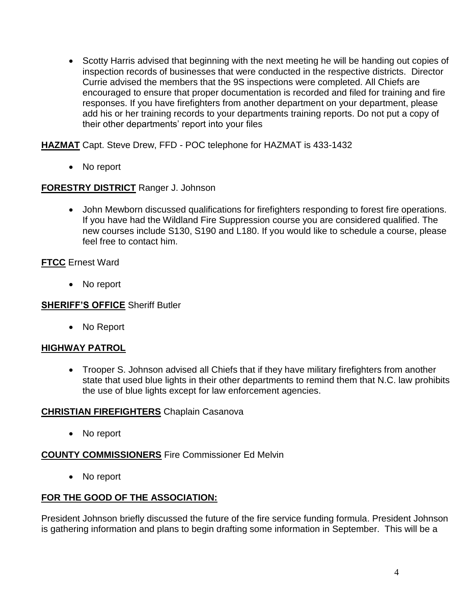Scotty Harris advised that beginning with the next meeting he will be handing out copies of inspection records of businesses that were conducted in the respective districts. Director Currie advised the members that the 9S inspections were completed. All Chiefs are encouraged to ensure that proper documentation is recorded and filed for training and fire responses. If you have firefighters from another department on your department, please add his or her training records to your departments training reports. Do not put a copy of their other departments' report into your files

**HAZMAT** Capt. Steve Drew, FFD - POC telephone for HAZMAT is 433-1432

• No report

#### **FORESTRY DISTRICT** Ranger J. Johnson

 John Mewborn discussed qualifications for firefighters responding to forest fire operations. If you have had the Wildland Fire Suppression course you are considered qualified. The new courses include S130, S190 and L180. If you would like to schedule a course, please feel free to contact him.

#### **FTCC** Ernest Ward

• No report

#### **SHERIFF'S OFFICE** Sheriff Butler

• No Report

### **HIGHWAY PATROL**

 Trooper S. Johnson advised all Chiefs that if they have military firefighters from another state that used blue lights in their other departments to remind them that N.C. law prohibits the use of blue lights except for law enforcement agencies.

#### **CHRISTIAN FIREFIGHTERS** Chaplain Casanova

• No report

#### **COUNTY COMMISSIONERS** Fire Commissioner Ed Melvin

• No report

### **FOR THE GOOD OF THE ASSOCIATION:**

President Johnson briefly discussed the future of the fire service funding formula. President Johnson is gathering information and plans to begin drafting some information in September. This will be a